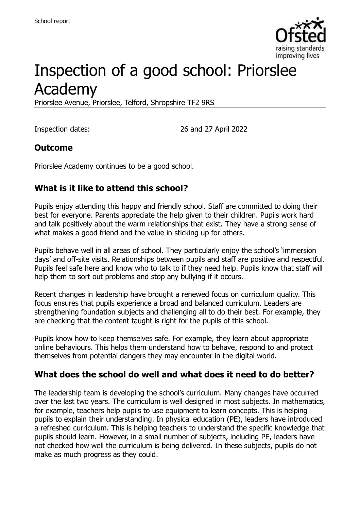

# Inspection of a good school: Priorslee Academy

Priorslee Avenue, Priorslee, Telford, Shropshire TF2 9RS

Inspection dates: 26 and 27 April 2022

#### **Outcome**

Priorslee Academy continues to be a good school.

#### **What is it like to attend this school?**

Pupils enjoy attending this happy and friendly school. Staff are committed to doing their best for everyone. Parents appreciate the help given to their children. Pupils work hard and talk positively about the warm relationships that exist. They have a strong sense of what makes a good friend and the value in sticking up for others.

Pupils behave well in all areas of school. They particularly enjoy the school's 'immersion days' and off-site visits. Relationships between pupils and staff are positive and respectful. Pupils feel safe here and know who to talk to if they need help. Pupils know that staff will help them to sort out problems and stop any bullying if it occurs.

Recent changes in leadership have brought a renewed focus on curriculum quality. This focus ensures that pupils experience a broad and balanced curriculum. Leaders are strengthening foundation subjects and challenging all to do their best. For example, they are checking that the content taught is right for the pupils of this school.

Pupils know how to keep themselves safe. For example, they learn about appropriate online behaviours. This helps them understand how to behave, respond to and protect themselves from potential dangers they may encounter in the digital world.

#### **What does the school do well and what does it need to do better?**

The leadership team is developing the school's curriculum. Many changes have occurred over the last two years. The curriculum is well designed in most subjects. In mathematics, for example, teachers help pupils to use equipment to learn concepts. This is helping pupils to explain their understanding. In physical education (PE), leaders have introduced a refreshed curriculum. This is helping teachers to understand the specific knowledge that pupils should learn. However, in a small number of subjects, including PE, leaders have not checked how well the curriculum is being delivered. In these subjects, pupils do not make as much progress as they could.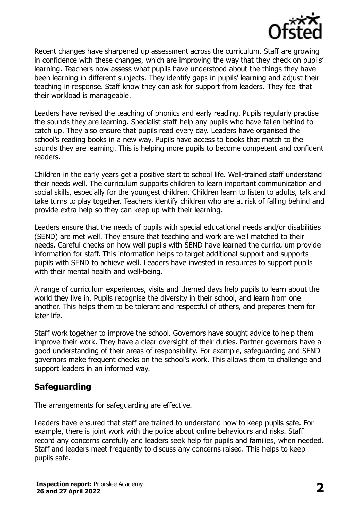

Recent changes have sharpened up assessment across the curriculum. Staff are growing in confidence with these changes, which are improving the way that they check on pupils' learning. Teachers now assess what pupils have understood about the things they have been learning in different subjects. They identify gaps in pupils' learning and adjust their teaching in response. Staff know they can ask for support from leaders. They feel that their workload is manageable.

Leaders have revised the teaching of phonics and early reading. Pupils regularly practise the sounds they are learning. Specialist staff help any pupils who have fallen behind to catch up. They also ensure that pupils read every day. Leaders have organised the school's reading books in a new way. Pupils have access to books that match to the sounds they are learning. This is helping more pupils to become competent and confident readers.

Children in the early years get a positive start to school life. Well-trained staff understand their needs well. The curriculum supports children to learn important communication and social skills, especially for the youngest children. Children learn to listen to adults, talk and take turns to play together. Teachers identify children who are at risk of falling behind and provide extra help so they can keep up with their learning.

Leaders ensure that the needs of pupils with special educational needs and/or disabilities (SEND) are met well. They ensure that teaching and work are well matched to their needs. Careful checks on how well pupils with SEND have learned the curriculum provide information for staff. This information helps to target additional support and supports pupils with SEND to achieve well. Leaders have invested in resources to support pupils with their mental health and well-being.

A range of curriculum experiences, visits and themed days help pupils to learn about the world they live in. Pupils recognise the diversity in their school, and learn from one another. This helps them to be tolerant and respectful of others, and prepares them for later life.

Staff work together to improve the school. Governors have sought advice to help them improve their work. They have a clear oversight of their duties. Partner governors have a good understanding of their areas of responsibility. For example, safeguarding and SEND governors make frequent checks on the school's work. This allows them to challenge and support leaders in an informed way.

### **Safeguarding**

The arrangements for safeguarding are effective.

Leaders have ensured that staff are trained to understand how to keep pupils safe. For example, there is joint work with the police about online behaviours and risks. Staff record any concerns carefully and leaders seek help for pupils and families, when needed. Staff and leaders meet frequently to discuss any concerns raised. This helps to keep pupils safe.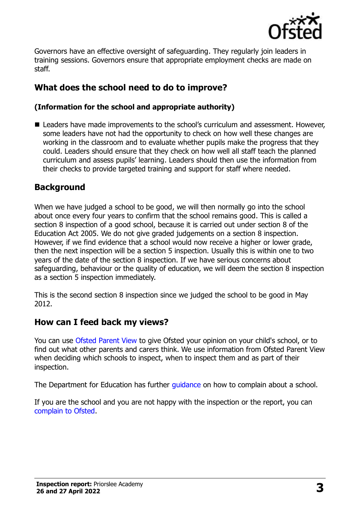

Governors have an effective oversight of safeguarding. They regularly join leaders in training sessions. Governors ensure that appropriate employment checks are made on staff.

## **What does the school need to do to improve?**

#### **(Information for the school and appropriate authority)**

■ Leaders have made improvements to the school's curriculum and assessment. However, some leaders have not had the opportunity to check on how well these changes are working in the classroom and to evaluate whether pupils make the progress that they could. Leaders should ensure that they check on how well all staff teach the planned curriculum and assess pupils' learning. Leaders should then use the information from their checks to provide targeted training and support for staff where needed.

#### **Background**

When we have judged a school to be good, we will then normally go into the school about once every four years to confirm that the school remains good. This is called a section 8 inspection of a good school, because it is carried out under section 8 of the Education Act 2005. We do not give graded judgements on a section 8 inspection. However, if we find evidence that a school would now receive a higher or lower grade, then the next inspection will be a section 5 inspection. Usually this is within one to two years of the date of the section 8 inspection. If we have serious concerns about safeguarding, behaviour or the quality of education, we will deem the section 8 inspection as a section 5 inspection immediately.

This is the second section 8 inspection since we judged the school to be good in May 2012.

#### **How can I feed back my views?**

You can use [Ofsted Parent View](https://parentview.ofsted.gov.uk/) to give Ofsted your opinion on your child's school, or to find out what other parents and carers think. We use information from Ofsted Parent View when deciding which schools to inspect, when to inspect them and as part of their inspection.

The Department for Education has further [guidance](http://www.gov.uk/complain-about-school) on how to complain about a school.

If you are the school and you are not happy with the inspection or the report, you can [complain to Ofsted.](https://www.gov.uk/complain-ofsted-report)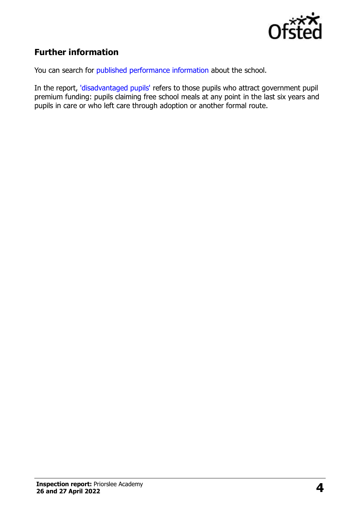

### **Further information**

You can search for [published performance information](http://www.compare-school-performance.service.gov.uk/) about the school.

In the report, ['disadvantaged pupils'](http://www.gov.uk/guidance/pupil-premium-information-for-schools-and-alternative-provision-settings) refers to those pupils who attract government pupil premium funding: pupils claiming free school meals at any point in the last six years and pupils in care or who left care through adoption or another formal route.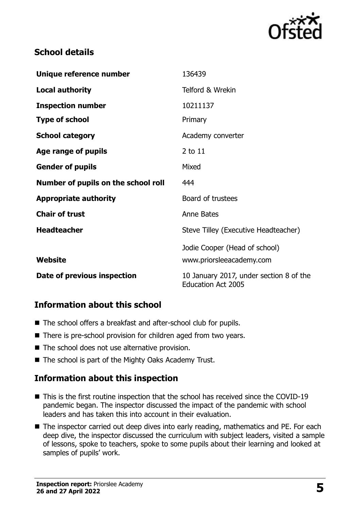

#### **School details**

| Unique reference number             | 136439                                                               |
|-------------------------------------|----------------------------------------------------------------------|
| <b>Local authority</b>              | Telford & Wrekin                                                     |
| <b>Inspection number</b>            | 10211137                                                             |
| <b>Type of school</b>               | Primary                                                              |
| <b>School category</b>              | Academy converter                                                    |
| Age range of pupils                 | 2 to 11                                                              |
| <b>Gender of pupils</b>             | Mixed                                                                |
| Number of pupils on the school roll | 444                                                                  |
| <b>Appropriate authority</b>        | Board of trustees                                                    |
| <b>Chair of trust</b>               | <b>Anne Bates</b>                                                    |
| <b>Headteacher</b>                  | Steve Tilley (Executive Headteacher)                                 |
|                                     | Jodie Cooper (Head of school)                                        |
| Website                             | www.priorsleeacademy.com                                             |
| Date of previous inspection         | 10 January 2017, under section 8 of the<br><b>Education Act 2005</b> |

#### **Information about this school**

- The school offers a breakfast and after-school club for pupils.
- There is pre-school provision for children aged from two years.
- The school does not use alternative provision.
- The school is part of the Mighty Oaks Academy Trust.

#### **Information about this inspection**

- This is the first routine inspection that the school has received since the COVID-19 pandemic began. The inspector discussed the impact of the pandemic with school leaders and has taken this into account in their evaluation.
- The inspector carried out deep dives into early reading, mathematics and PE. For each deep dive, the inspector discussed the curriculum with subject leaders, visited a sample of lessons, spoke to teachers, spoke to some pupils about their learning and looked at samples of pupils' work.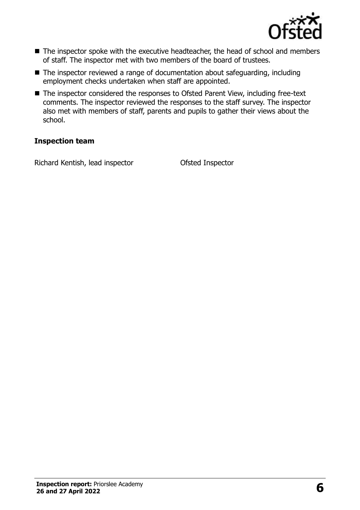

- The inspector spoke with the executive headteacher, the head of school and members of staff. The inspector met with two members of the board of trustees.
- The inspector reviewed a range of documentation about safeguarding, including employment checks undertaken when staff are appointed.
- The inspector considered the responses to Ofsted Parent View, including free-text comments. The inspector reviewed the responses to the staff survey. The inspector also met with members of staff, parents and pupils to gather their views about the school.

#### **Inspection team**

Richard Kentish, lead inspector Ofsted Inspector